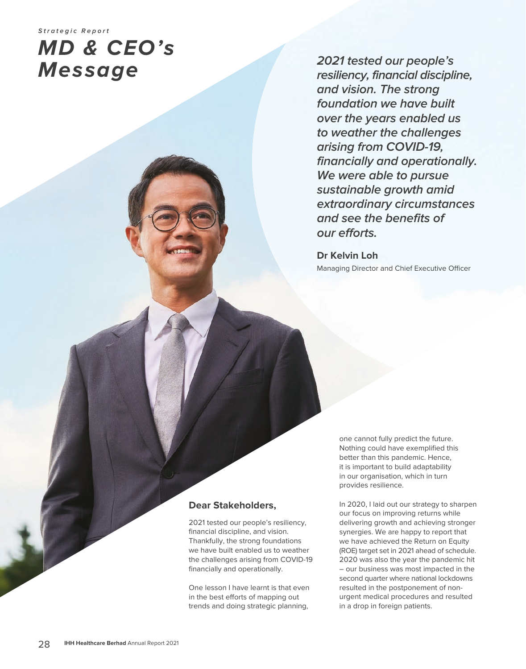# **MD & CEO's Message**

**2021 tested our people's resiliency, financial discipline, and vision. The strong foundation we have built over the years enabled us to weather the challenges arising from COVID-19, financially and operationally. We were able to pursue sustainable growth amid extraordinary circumstances and see the benefits of our efforts.**

**Dr Kelvin Loh** Managing Director and Chief Executive Officer

## **Dear Stakeholders,**

2021 tested our people's resiliency, financial discipline, and vision. Thankfully, the strong foundations we have built enabled us to weather the challenges arising from COVID-19 financially and operationally.

One lesson I have learnt is that even in the best efforts of mapping out trends and doing strategic planning,

one cannot fully predict the future. Nothing could have exemplified this better than this pandemic. Hence, it is important to build adaptability in our organisation, which in turn provides resilience.

In 2020, I laid out our strategy to sharpen our focus on improving returns while delivering growth and achieving stronger synergies. We are happy to report that we have achieved the Return on Equity (ROE) target set in 2021 ahead of schedule. 2020 was also the year the pandemic hit – our business was most impacted in the second quarter where national lockdowns resulted in the postponement of nonurgent medical procedures and resulted in a drop in foreign patients.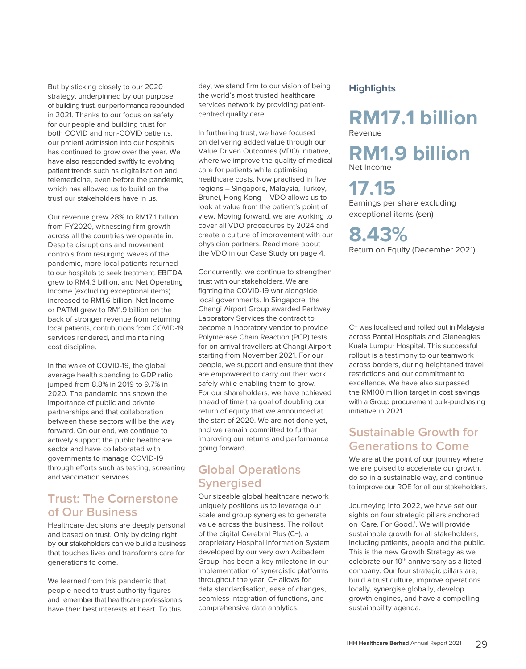But by sticking closely to our 2020 strategy, underpinned by our purpose of building trust, our performance rebounded in 2021. Thanks to our focus on safety for our people and building trust for both COVID and non-COVID patients, our patient admission into our hospitals has continued to grow over the year. We have also responded swiftly to evolving patient trends such as digitalisation and telemedicine, even before the pandemic, which has allowed us to build on the trust our stakeholders have in us.

Our revenue grew 28% to RM17.1 billion from FY2020, witnessing firm growth across all the countries we operate in. Despite disruptions and movement controls from resurging waves of the pandemic, more local patients returned to our hospitals to seek treatment. EBITDA grew to RM4.3 billion, and Net Operating Income (excluding exceptional items) increased to RM1.6 billion. Net Income or PATMI grew to RM1.9 billion on the back of stronger revenue from returning local patients, contributions from COVID-19 services rendered, and maintaining cost discipline.

In the wake of COVID-19, the global average health spending to GDP ratio jumped from 8.8% in 2019 to 9.7% in 2020. The pandemic has shown the importance of public and private partnerships and that collaboration between these sectors will be the way forward. On our end, we continue to actively support the public healthcare sector and have collaborated with governments to manage COVID-19 through efforts such as testing, screening and vaccination services.

## **Trust: The Cornerstone of Our Business**

Healthcare decisions are deeply personal and based on trust. Only by doing right by our stakeholders can we build a business that touches lives and transforms care for generations to come.

We learned from this pandemic that people need to trust authority figures and remember that healthcare professionals have their best interests at heart. To this day, we stand firm to our vision of being the world's most trusted healthcare services network by providing patientcentred quality care.

In furthering trust, we have focused on delivering added value through our Value Driven Outcomes (VDO) initiative, where we improve the quality of medical care for patients while optimising healthcare costs. Now practised in five regions – Singapore, Malaysia, Turkey, Brunei, Hong Kong – VDO allows us to look at value from the patient's point of view. Moving forward, we are working to cover all VDO procedures by 2024 and create a culture of improvement with our physician partners. Read more about the VDO in our Case Study on page 4.

Concurrently, we continue to strengthen trust with our stakeholders. We are fighting the COVID-19 war alongside local governments. In Singapore, the Changi Airport Group awarded Parkway Laboratory Services the contract to become a laboratory vendor to provide Polymerase Chain Reaction (PCR) tests for on-arrival travellers at Changi Airport starting from November 2021. For our people, we support and ensure that they are empowered to carry out their work safely while enabling them to grow. For our shareholders, we have achieved ahead of time the goal of doubling our return of equity that we announced at the start of 2020. We are not done yet, and we remain committed to further improving our returns and performance going forward.

## **Global Operations Synergised**

Our sizeable global healthcare network uniquely positions us to leverage our scale and group synergies to generate value across the business. The rollout of the digital Cerebral Plus (C+), a proprietary Hospital Information System developed by our very own Acibadem Group, has been a key milestone in our implementation of synergistic platforms throughout the year. C+ allows for data standardisation, ease of changes, seamless integration of functions, and comprehensive data analytics.

#### **Highlights**

**RM17.1 billion** Revenue

**RM1.9 billion** Net Income

## **17.15**

Earnings per share excluding exceptional items (sen)

## **8.43%**

Return on Equity (December 2021)

C+ was localised and rolled out in Malaysia across Pantai Hospitals and Gleneagles Kuala Lumpur Hospital. This successful rollout is a testimony to our teamwork across borders, during heightened travel restrictions and our commitment to excellence. We have also surpassed the RM100 million target in cost savings with a Group procurement bulk-purchasing initiative in 2021.

## **Sustainable Growth for Generations to Come**

We are at the point of our journey where we are poised to accelerate our growth, do so in a sustainable way, and continue to improve our ROE for all our stakeholders.

Journeying into 2022, we have set our sights on four strategic pillars anchored on 'Care. For Good.'. We will provide sustainable growth for all stakeholders, including patients, people and the public. This is the new Growth Strategy as we celebrate our 10<sup>th</sup> anniversary as a listed company. Our four strategic pillars are; build a trust culture, improve operations locally, synergise globally, develop growth engines, and have a compelling sustainability agenda.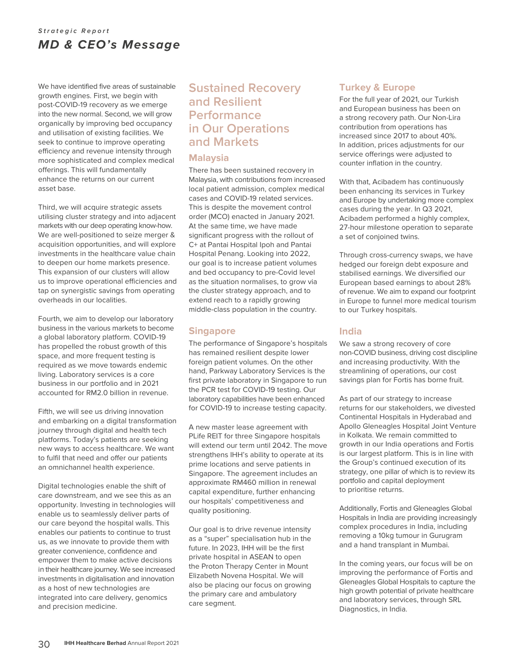## **Strategic Report** *MD & CEO's Message*

We have identified five areas of sustainable growth engines. First, we begin with post-COVID-19 recovery as we emerge into the new normal. Second, we will grow organically by improving bed occupancy and utilisation of existing facilities. We seek to continue to improve operating efficiency and revenue intensity through more sophisticated and complex medical offerings. This will fundamentally enhance the returns on our current asset base.

Third, we will acquire strategic assets utilising cluster strategy and into adjacent markets with our deep operating know-how. We are well-positioned to seize merger & acquisition opportunities, and will explore investments in the healthcare value chain to deepen our home markets presence. This expansion of our clusters will allow us to improve operational efficiencies and tap on synergistic savings from operating overheads in our localities.

Fourth, we aim to develop our laboratory business in the various markets to become a global laboratory platform. COVID-19 has propelled the robust growth of this space, and more frequent testing is required as we move towards endemic living. Laboratory services is a core business in our portfolio and in 2021 accounted for RM2.0 billion in revenue.

Fifth, we will see us driving innovation and embarking on a digital transformation journey through digital and health tech platforms. Today's patients are seeking new ways to access healthcare. We want to fulfil that need and offer our patients an omnichannel health experience.

Digital technologies enable the shift of care downstream, and we see this as an opportunity. Investing in technologies will enable us to seamlessly deliver parts of our care beyond the hospital walls. This enables our patients to continue to trust us, as we innovate to provide them with greater convenience, confidence and empower them to make active decisions in their healthcare journey. We see increased investments in digitalisation and innovation as a host of new technologies are integrated into care delivery, genomics and precision medicine.

## **Sustained Recovery and Resilient Performance in Our Operations and Markets**

#### **Malaysia**

There has been sustained recovery in Malaysia, with contributions from increased local patient admission, complex medical cases and COVID-19 related services. This is despite the movement control order (MCO) enacted in January 2021. At the same time, we have made significant progress with the rollout of C+ at Pantai Hospital Ipoh and Pantai Hospital Penang. Looking into 2022, our goal is to increase patient volumes and bed occupancy to pre-Covid level as the situation normalises, to grow via the cluster strategy approach, and to extend reach to a rapidly growing middle-class population in the country.

### **Singapore**

The performance of Singapore's hospitals has remained resilient despite lower foreign patient volumes. On the other hand, Parkway Laboratory Services is the first private laboratory in Singapore to run the PCR test for COVID-19 testing. Our laboratory capabilities have been enhanced for COVID-19 to increase testing capacity.

A new master lease agreement with PLife REIT for three Singapore hospitals will extend our term until 2042. The move strengthens IHH's ability to operate at its prime locations and serve patients in Singapore. The agreement includes an approximate RM460 million in renewal capital expenditure, further enhancing our hospitals' competitiveness and quality positioning.

Our goal is to drive revenue intensity as a "super" specialisation hub in the future. In 2023, IHH will be the first private hospital in ASEAN to open the Proton Therapy Center in Mount Elizabeth Novena Hospital. We will also be placing our focus on growing the primary care and ambulatory care segment.

#### **Turkey & Europe**

For the full year of 2021, our Turkish and European business has been on a strong recovery path. Our Non-Lira contribution from operations has increased since 2017 to about 40%. In addition, prices adjustments for our service offerings were adjusted to counter inflation in the country.

With that, Acibadem has continuously been enhancing its services in Turkey and Europe by undertaking more complex cases during the year. In Q3 2021, Acibadem performed a highly complex, 27-hour milestone operation to separate a set of conjoined twins.

Through cross-currency swaps, we have hedged our foreign debt exposure and stabilised earnings. We diversified our European based earnings to about 28% of revenue. We aim to expand our footprint in Europe to funnel more medical tourism to our Turkey hospitals.

#### **India**

We saw a strong recovery of core non-COVID business, driving cost discipline and increasing productivity. With the streamlining of operations, our cost savings plan for Fortis has borne fruit.

As part of our strategy to increase returns for our stakeholders, we divested Continental Hospitals in Hyderabad and Apollo Gleneagles Hospital Joint Venture in Kolkata. We remain committed to growth in our India operations and Fortis is our largest platform. This is in line with the Group's continued execution of its strategy, one pillar of which is to review its portfolio and capital deployment to prioritise returns.

Additionally, Fortis and Gleneagles Global Hospitals in India are providing increasingly complex procedures in India, including removing a 10kg tumour in Gurugram and a hand transplant in Mumbai.

In the coming years, our focus will be on improving the performance of Fortis and Gleneagles Global Hospitals to capture the high growth potential of private healthcare and laboratory services, through SRL Diagnostics, in India.